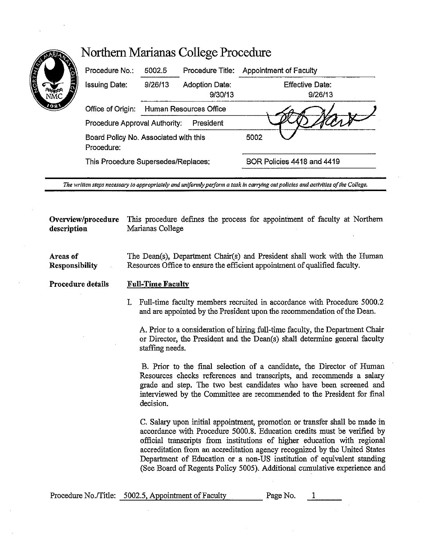| <b>CONFIDENTI</b> | Procedure No.:                                      | 5002.5                              | Procedure Title:          | Appointment of Faculty            |
|-------------------|-----------------------------------------------------|-------------------------------------|---------------------------|-----------------------------------|
| ņ                 | <b>Issuing Date:</b>                                | 9/26/13                             | Adoption Date:<br>9/30/13 | <b>Effective Date:</b><br>9/26/13 |
| 798 V             | Office of Origin:                                   | Human Resources Office              |                           |                                   |
|                   | Procedure Approval Authority:<br>President          |                                     |                           |                                   |
|                   | Board Policy No. Associated with this<br>Procedure: |                                     |                           | 5002                              |
|                   |                                                     | This Procedure Supersedes/Replaces: |                           | BOR Policies 4418 and 4419        |

*The written steps necessary to appropriately and uniformly peiform a task in carrying out policies and activities of the College.* 

**Overview/procedure** This procedure defines the process for appointment of faculty at Northern **description** Marianas College

**Areas of Responsibility**  The Dean(s), Department Chair(s) and President shall work with the Human Resources Office to ensure the efficient appointment of qualified faculty.

**Procedure details Full-Time Faculty** 

> I. Full-time faculty members recruited in accordance with Procedure 5000.2 and are appointed by the President upon the recommendation of the Dean.

A. Prior to a consideration of hiring full-time faculty, the Department Chair or Director, the President and the Dean(s) shall determine general faculty staffing needs.

B. Prior to the final selection of a candidate, the Director of Human Resources checks references and transcripts, and recommends a salary grade and step. The two best candidates who have been screened and interviewed by the Committee are recommended to the President for final decision.

C. Salary upon initial appointment, promotion or transfer shall be made in accordance with Procedure 5000.8. Education credits must be verified by official transcripts from institutions of higher education with regional accreditation from an accreditation agency recognized by the United States Department of Education or a non-US institution of equivalent standing (See Board of Regents Policy 5005). Additional cumulative experience and

| Procedure No./Title: 5002.5, Appointment of Faculty | Page No. |  |
|-----------------------------------------------------|----------|--|
|                                                     |          |  |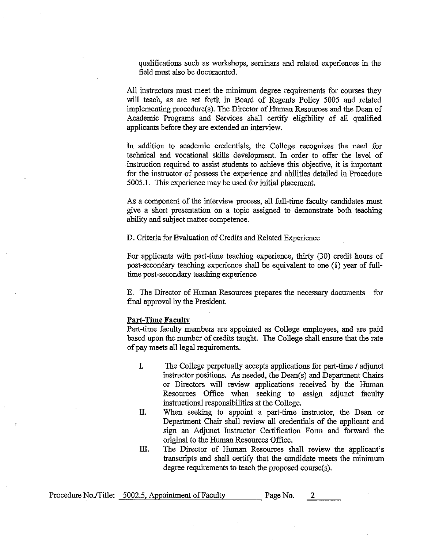qualifications such as workshops, seminars and related experiences in the field must also be documented.

All instructors must meet the minimum degree requirements for courses they will teach, as are set forth in Board of Regents Policy 5005 and related implementing procedure(s). The Director of Human Resources and the Dean of Academic Programs and Services shall certify eligibility of all qualified applicants before they are extended an interview.

In addition to academic credentials, the College recognizes the need for technical and vocational skills development. In order to offer the level of instruction required to assist students to achieve this objective, it is important for the instructor of possess the experience and abilities detailed in Procedure 5005.1. This experience may be used for initial placement.

As a component of the interview process, all full-time faculty candidates must give a short presentation on a topic assigned to demonstrate both teaching ability and subject matter competence.

**D.** Criteria for Evaluation of Credits and Related Experience

For applicants with part-time teaching experience, thirty (30) credit hours of post-secondary teaching experience shall be equivalent to one (1) year of fulltime post-secondary teaching experience

E. The Director of Human Resources prepares the necessary documents for final approval by the President.

## **Part-Time Faculty**

Part-time faculty members are appointed as College employees, and are paid based upon the number of credits taught. The College shall ensure that the rate of pay meets all legal requirements.

- I. The College perpetually accepts applications for part-time/ adjunct instructor positions. As needed, the Dean(s) and Department Chairs or Directors will review applications received by the Human Resources Office when seeking to assign adjunct faculty instructional responsibilities at the College.
- II. When seeking to appoint a part-time instructor, the Dean or Department Chair shall review all credentials of the applicant and sign an Adjunct Instructor Certification Form and forward the original to the Human Resources Office.
- **ill.** The Director of Human Resources shall review the applicant's transcripts and shall certify that the candidate meets the minimum degree requirements to teach the proposed course(s).

| Procedure No./Title: 5002.5, Appointment of Faculty | Page No. |  |
|-----------------------------------------------------|----------|--|
|-----------------------------------------------------|----------|--|